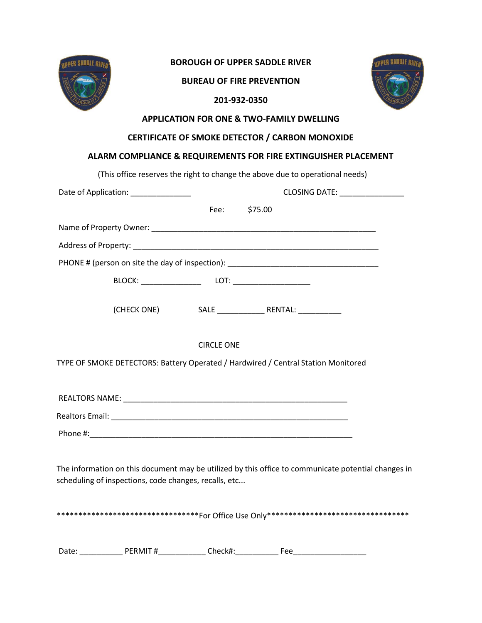

### **BOROUGH OF UPPER SADDLE RIVER**

**BUREAU OF FIRE PREVENTION** 



# **201-932-0350**

### **APPLICATION FOR ONE & TWO-FAMILY DWELLING**

### **CERTIFICATE OF SMOKE DETECTOR / CARBON MONOXIDE**

## **ALARM COMPLIANCE & REQUIREMENTS FOR FIRE EXTINGUISHER PLACEMENT**

(This office reserves the right to change the above due to operational needs)

| Date of Application: _______________                                                                                                                         |  |                   | CLOSING DATE: _________________                                                   |  |  |
|--------------------------------------------------------------------------------------------------------------------------------------------------------------|--|-------------------|-----------------------------------------------------------------------------------|--|--|
|                                                                                                                                                              |  | Fee:              | \$75.00                                                                           |  |  |
|                                                                                                                                                              |  |                   |                                                                                   |  |  |
|                                                                                                                                                              |  |                   |                                                                                   |  |  |
| PHONE # (person on site the day of inspection): _________________________________                                                                            |  |                   |                                                                                   |  |  |
|                                                                                                                                                              |  |                   |                                                                                   |  |  |
|                                                                                                                                                              |  |                   |                                                                                   |  |  |
|                                                                                                                                                              |  | <b>CIRCLE ONE</b> |                                                                                   |  |  |
|                                                                                                                                                              |  |                   | TYPE OF SMOKE DETECTORS: Battery Operated / Hardwired / Central Station Monitored |  |  |
|                                                                                                                                                              |  |                   |                                                                                   |  |  |
|                                                                                                                                                              |  |                   |                                                                                   |  |  |
|                                                                                                                                                              |  |                   |                                                                                   |  |  |
| The information on this document may be utilized by this office to communicate potential changes in<br>scheduling of inspections, code changes, recalls, etc |  |                   |                                                                                   |  |  |
| **********************************For office Use only****************************                                                                            |  |                   |                                                                                   |  |  |
|                                                                                                                                                              |  |                   |                                                                                   |  |  |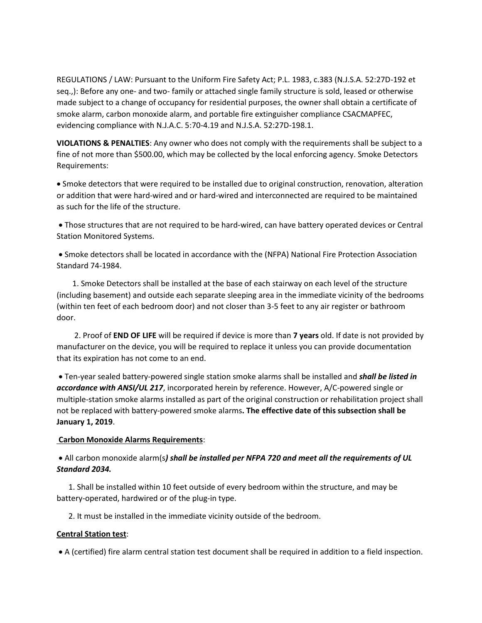REGULATIONS / LAW: Pursuant to the Uniform Fire Safety Act; P.L. 1983, c.383 (N.J.S.A. 52:27D-192 et seq.,): Before any one- and two- family or attached single family structure is sold, leased or otherwise made subject to a change of occupancy for residential purposes, the owner shall obtain a certificate of smoke alarm, carbon monoxide alarm, and portable fire extinguisher compliance CSACMAPFEC, evidencing compliance with N.J.A.C. 5:70-4.19 and N.J.S.A. 52:27D-198.1.

**VIOLATIONS & PENALTIES**: Any owner who does not comply with the requirements shall be subject to a fine of not more than \$500.00, which may be collected by the local enforcing agency. Smoke Detectors Requirements:

• Smoke detectors that were required to be installed due to original construction, renovation, alteration or addition that were hard-wired and or hard-wired and interconnected are required to be maintained as such for the life of the structure.

• Those structures that are not required to be hard-wired, can have battery operated devices or Central Station Monitored Systems.

• Smoke detectors shall be located in accordance with the (NFPA) National Fire Protection Association Standard 74-1984.

 1. Smoke Detectors shall be installed at the base of each stairway on each level of the structure (including basement) and outside each separate sleeping area in the immediate vicinity of the bedrooms (within ten feet of each bedroom door) and not closer than 3-5 feet to any air register or bathroom door.

 2. Proof of **END OF LIFE** will be required if device is more than **7 years** old. If date is not provided by manufacturer on the device, you will be required to replace it unless you can provide documentation that its expiration has not come to an end.

• Ten-year sealed battery-powered single station smoke alarms shall be installed and *shall be listed in accordance with ANSI/UL 217*, incorporated herein by reference. However, A/C-powered single or multiple-station smoke alarms installed as part of the original construction or rehabilitation project shall not be replaced with battery-powered smoke alarms**. The effective date of this subsection shall be January 1, 2019**.

#### **Carbon Monoxide Alarms Requirements**:

• All carbon monoxide alarm(s*) shall be installed per NFPA 720 and meet all the requirements of UL Standard 2034.*

 1. Shall be installed within 10 feet outside of every bedroom within the structure, and may be battery-operated, hardwired or of the plug-in type.

2. It must be installed in the immediate vicinity outside of the bedroom.

#### **Central Station test**:

• A (certified) fire alarm central station test document shall be required in addition to a field inspection.